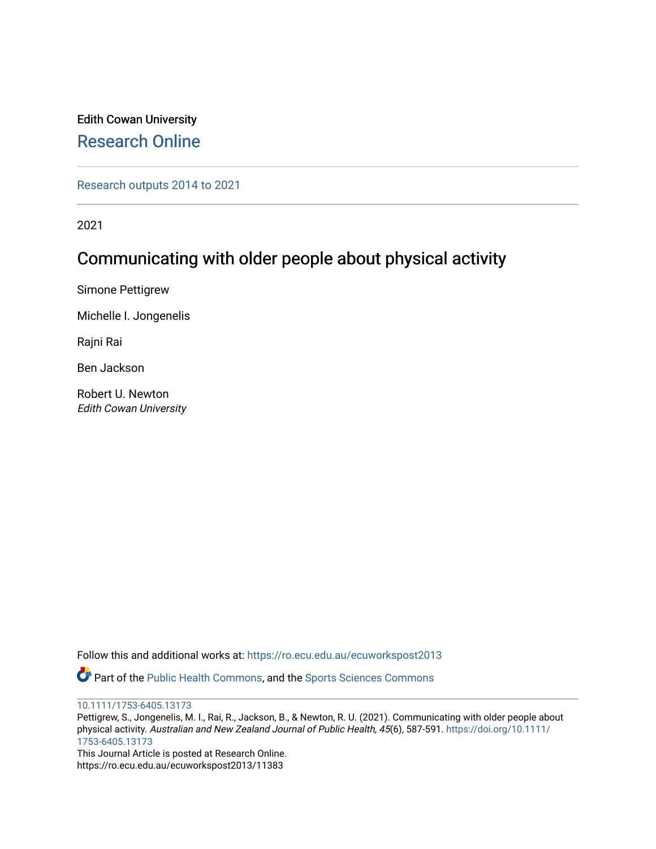# Edith Cowan University [Research Online](https://ro.ecu.edu.au/)

[Research outputs 2014 to 2021](https://ro.ecu.edu.au/ecuworkspost2013) 

2021

# Communicating with older people about physical activity

Simone Pettigrew

Michelle I. Jongenelis

Rajni Rai

Ben Jackson

Robert U. Newton Edith Cowan University

Follow this and additional works at: [https://ro.ecu.edu.au/ecuworkspost2013](https://ro.ecu.edu.au/ecuworkspost2013?utm_source=ro.ecu.edu.au%2Fecuworkspost2013%2F11383&utm_medium=PDF&utm_campaign=PDFCoverPages) 

Part of the [Public Health Commons,](http://network.bepress.com/hgg/discipline/738?utm_source=ro.ecu.edu.au%2Fecuworkspost2013%2F11383&utm_medium=PDF&utm_campaign=PDFCoverPages) and the [Sports Sciences Commons](http://network.bepress.com/hgg/discipline/759?utm_source=ro.ecu.edu.au%2Fecuworkspost2013%2F11383&utm_medium=PDF&utm_campaign=PDFCoverPages)

[10.1111/1753-6405.13173](http://dx.doi.org/10.1111/1753-6405.13173) 

Pettigrew, S., Jongenelis, M. I., Rai, R., Jackson, B., & Newton, R. U. (2021). Communicating with older people about physical activity. Australian and New Zealand Journal of Public Health, 45(6), 587-591. [https://doi.org/10.1111/](https://doi.org/10.1111/1753-6405.13173) [1753-6405.13173](https://doi.org/10.1111/1753-6405.13173) 

This Journal Article is posted at Research Online. https://ro.ecu.edu.au/ecuworkspost2013/11383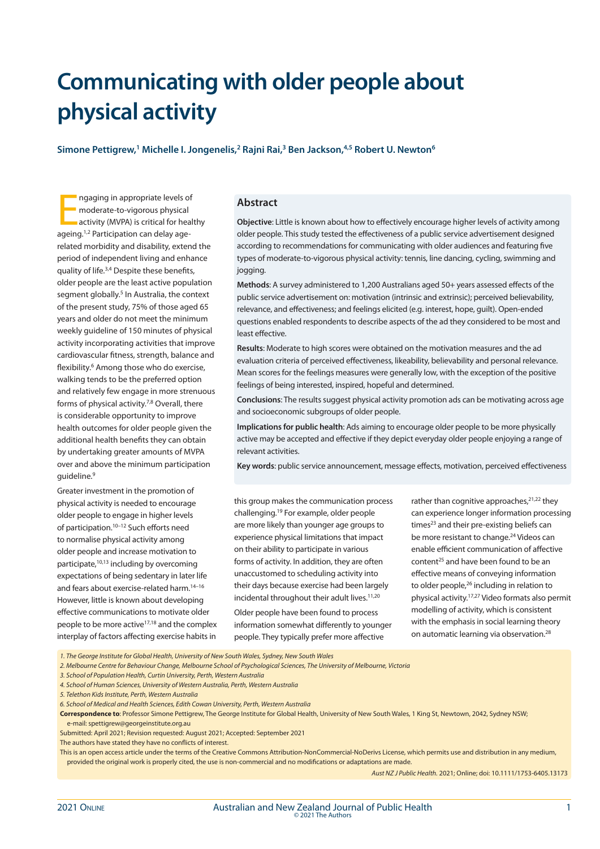# **Communicating with older people about physical activity**

Simone Pettigrew,<sup>1</sup> Michelle I. Jongenelis,<sup>2</sup> Rajni Rai,<sup>3</sup> Ben Jackson,<sup>4,5</sup> Robert U. Newton<sup>6</sup>

Ingaging in appropriate levels of<br>
moderate-to-vigorous physical<br>
activity (MVPA) is critical for hea<br>
ageing.<sup>1,2</sup> Participation can delay agengaging in appropriate levels of moderate-to-vigorous physical activity (MVPA) is critical for healthy related morbidity and disability, extend the period of independent living and enhance quality of life.3,4 Despite these benefits, older people are the least active population segment globally.<sup>5</sup> In Australia, the context of the present study, 75% of those aged 65 years and older do not meet the minimum weekly guideline of 150 minutes of physical activity incorporating activities that improve cardiovascular fitness, strength, balance and flexibility.<sup>6</sup> Among those who do exercise, walking tends to be the preferred option and relatively few engage in more strenuous forms of physical activity.<sup>7,8</sup> Overall, there is considerable opportunity to improve health outcomes for older people given the additional health benefits they can obtain by undertaking greater amounts of MVPA over and above the minimum participation guideline.9

Greater investment in the promotion of physical activity is needed to encourage older people to engage in higher levels of participation.10–12 Such efforts need to normalise physical activity among older people and increase motivation to participate,10,13 including by overcoming expectations of being sedentary in later life and fears about exercise-related harm.14–16 However, little is known about developing effective communications to motivate older people to be more active<sup>17,18</sup> and the complex interplay of factors affecting exercise habits in

#### **Abstract**

**Objective**: Little is known about how to effectively encourage higher levels of activity among older people. This study tested the effectiveness of a public service advertisement designed according to recommendations for communicating with older audiences and featuring five types of moderate-to-vigorous physical activity: tennis, line dancing, cycling, swimming and jogging.

**Methods**: A survey administered to 1,200 Australians aged 50+ years assessed effects of the public service advertisement on: motivation (intrinsic and extrinsic); perceived believability, relevance, and effectiveness; and feelings elicited (e.g. interest, hope, guilt). Open-ended questions enabled respondents to describe aspects of the ad they considered to be most and least effective.

**Results**: Moderate to high scores were obtained on the motivation measures and the ad evaluation criteria of perceived effectiveness, likeability, believability and personal relevance. Mean scores for the feelings measures were generally low, with the exception of the positive feelings of being interested, inspired, hopeful and determined.

**Conclusions**: The results suggest physical activity promotion ads can be motivating across age and socioeconomic subgroups of older people.

**Implications for public health**: Ads aiming to encourage older people to be more physically active may be accepted and effective if they depict everyday older people enjoying a range of relevant activities.

**Key words**: public service announcement, message effects, motivation, perceived effectiveness

this group makes the communication process challenging.19 For example, older people are more likely than younger age groups to experience physical limitations that impact on their ability to participate in various forms of activity. In addition, they are often unaccustomed to scheduling activity into their days because exercise had been largely incidental throughout their adult lives. $11,20$ 

Older people have been found to process information somewhat differently to younger people. They typically prefer more affective

rather than cognitive approaches, $2^{1,22}$  they can experience longer information processing times<sup>23</sup> and their pre-existing beliefs can be more resistant to change.<sup>24</sup> Videos can enable efficient communication of affective content25 and have been found to be an effective means of conveying information to older people,<sup>26</sup> including in relation to physical activity.17,27 Video formats also permit modelling of activity, which is consistent with the emphasis in social learning theory on automatic learning via observation.28

*1. The George Institute for Global Health, University of New South Wales, Sydney, New South Wales*

*2. Melbourne Centre for Behaviour Change, Melbourne School of Psychological Sciences, The University of Melbourne, Victoria*

*3. School of Population Health, Curtin University, Perth, Western Australia*

*4. School of Human Sciences, University of Western Australia, Perth, Western Australia*

*5. Telethon Kids Institute, Perth, Western Australia*

*6. School of Medical and Health Sciences, Edith Cowan University, Perth, Western Australia*

**Correspondence to**: Professor Simone Pettigrew, The George Institute for Global Health, University of New South Wales, 1 King St, Newtown, 2042, Sydney NSW; e-mail: spettigrew@georgeinstitute.org.au

Submitted: April 2021; Revision requested: August 2021; Accepted: September 2021

The authors have stated they have no conflicts of interest.

This is an open access article under the terms of the Creative Commons Attribution-NonCommercial-NoDerivs License, which permits use and distribution in any medium, provided the original work is properly cited, the use is non-commercial and no modifications or adaptations are made.

*Aust NZ J Public Health.* 2021; Online; doi: 10.1111/1753-6405.13173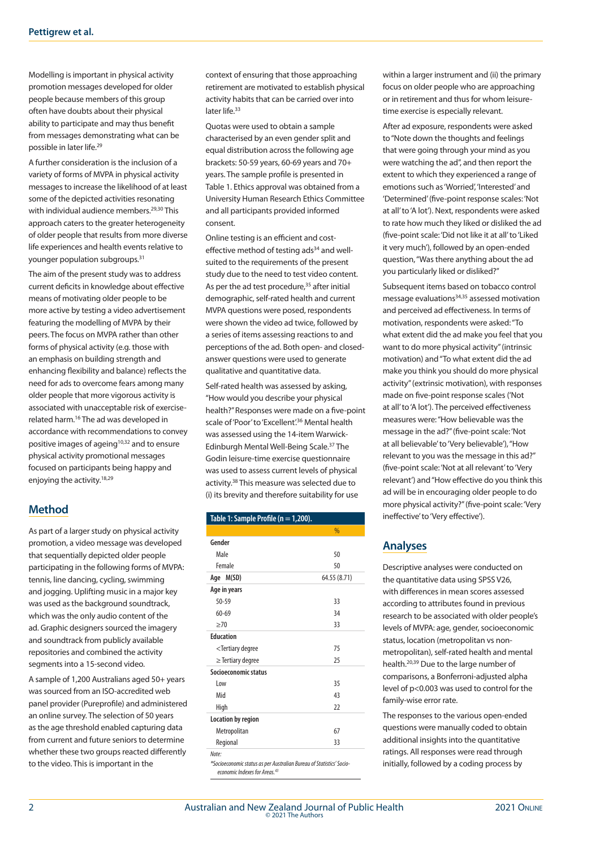Modelling is important in physical activity promotion messages developed for older people because members of this group often have doubts about their physical ability to participate and may thus benefit from messages demonstrating what can be possible in later life.29

A further consideration is the inclusion of a variety of forms of MVPA in physical activity messages to increase the likelihood of at least some of the depicted activities resonating with individual audience members.<sup>29,30</sup> This approach caters to the greater heterogeneity of older people that results from more diverse life experiences and health events relative to younger population subgroups.31

The aim of the present study was to address current deficits in knowledge about effective means of motivating older people to be more active by testing a video advertisement featuring the modelling of MVPA by their peers. The focus on MVPA rather than other forms of physical activity (e.g. those with an emphasis on building strength and enhancing flexibility and balance) reflects the need for ads to overcome fears among many older people that more vigorous activity is associated with unacceptable risk of exerciserelated harm.16 The ad was developed in accordance with recommendations to convey positive images of ageing<sup>10,32</sup> and to ensure physical activity promotional messages focused on participants being happy and enjoying the activity.18,29

## **Method**

As part of a larger study on physical activity promotion, a video message was developed that sequentially depicted older people participating in the following forms of MVPA: tennis, line dancing, cycling, swimming and jogging. Uplifting music in a major key was used as the background soundtrack, which was the only audio content of the ad. Graphic designers sourced the imagery and soundtrack from publicly available repositories and combined the activity segments into a 15-second video.

A sample of 1,200 Australians aged 50+ years was sourced from an ISO-accredited web panel provider (Pureprofile) and administered an online survey. The selection of 50 years as the age threshold enabled capturing data from current and future seniors to determine whether these two groups reacted differently to the video. This is important in the

context of ensuring that those approaching retirement are motivated to establish physical activity habits that can be carried over into later life.<sup>33</sup>

Quotas were used to obtain a sample characterised by an even gender split and equal distribution across the following age brackets: 50-59 years, 60-69 years and 70+ years. The sample profile is presented in Table 1. Ethics approval was obtained from a University Human Research Ethics Committee and all participants provided informed consent.

Online testing is an efficient and costeffective method of testing ads<sup>34</sup> and wellsuited to the requirements of the present study due to the need to test video content. As per the ad test procedure,<sup>35</sup> after initial demographic, self-rated health and current MVPA questions were posed, respondents were shown the video ad twice, followed by a series of items assessing reactions to and perceptions of the ad. Both open- and closedanswer questions were used to generate qualitative and quantitative data.

Self-rated health was assessed by asking, "How would you describe your physical health?" Responses were made on a five-point scale of 'Poor' to 'Excellent'.<sup>36</sup> Mental health was assessed using the 14-item Warwick-Edinburgh Mental Well-Being Scale.37 The Godin leisure-time exercise questionnaire was used to assess current levels of physical activity.38 This measure was selected due to (i) its brevity and therefore suitability for use

| Table 1: Sample Profile (n = 1,200).              |               |  |  |  |  |  |
|---------------------------------------------------|---------------|--|--|--|--|--|
|                                                   | $\frac{0}{0}$ |  |  |  |  |  |
| Gender                                            |               |  |  |  |  |  |
| Male                                              | 50            |  |  |  |  |  |
| Female                                            | 50            |  |  |  |  |  |
| Age M(SD)                                         | 64.55 (8.71)  |  |  |  |  |  |
| Age in years                                      |               |  |  |  |  |  |
| $50 - 59$                                         | 33            |  |  |  |  |  |
| $60 - 69$                                         | 34            |  |  |  |  |  |
| >70                                               | 33            |  |  |  |  |  |
| <b>Education</b>                                  |               |  |  |  |  |  |
| <tertiary degree<="" td=""><td>75</td></tertiary> | 75            |  |  |  |  |  |
| $\ge$ Tertiary degree                             | 25            |  |  |  |  |  |
| Socioeconomic status                              |               |  |  |  |  |  |
| Low                                               | 35            |  |  |  |  |  |
| Mid                                               | 43            |  |  |  |  |  |
| High                                              | 22            |  |  |  |  |  |
| Location by region                                |               |  |  |  |  |  |
| Metropolitan                                      | 67            |  |  |  |  |  |
| Regional                                          | 33            |  |  |  |  |  |
| Note:                                             |               |  |  |  |  |  |

*\*Socioeconomic status as per Australian Bureau of Statistics' Socioeconomic Indexes for Areas.43*

within a larger instrument and (ii) the primary focus on older people who are approaching or in retirement and thus for whom leisuretime exercise is especially relevant.

After ad exposure, respondents were asked to "Note down the thoughts and feelings that were going through your mind as you were watching the ad", and then report the extent to which they experienced a range of emotions such as 'Worried', 'Interested' and 'Determined' (five-point response scales: 'Not at all' to 'A lot'). Next, respondents were asked to rate how much they liked or disliked the ad (five-point scale: 'Did not like it at all' to 'Liked it very much'), followed by an open-ended question, "Was there anything about the ad you particularly liked or disliked?"

Subsequent items based on tobacco control message evaluations34,35 assessed motivation and perceived ad effectiveness. In terms of motivation, respondents were asked: "To what extent did the ad make you feel that you want to do more physical activity" (intrinsic motivation) and "To what extent did the ad make you think you should do more physical activity" (extrinsic motivation), with responses made on five-point response scales ('Not at all' to 'A lot'). The perceived effectiveness measures were: "How believable was the message in the ad?" (five-point scale: 'Not at all believable' to 'Very believable'), "How relevant to you was the message in this ad?" (five-point scale: 'Not at all relevant' to 'Very relevant') and "How effective do you think this ad will be in encouraging older people to do more physical activity?" (five-point scale: 'Very ineffective' to 'Very effective').

# **Analyses**

Descriptive analyses were conducted on the quantitative data using SPSS V26, with differences in mean scores assessed according to attributes found in previous research to be associated with older people's levels of MVPA: age, gender, socioeconomic status, location (metropolitan vs nonmetropolitan), self-rated health and mental health.20,39 Due to the large number of comparisons, a Bonferroni-adjusted alpha level of p<0.003 was used to control for the family-wise error rate.

The responses to the various open-ended questions were manually coded to obtain additional insights into the quantitative ratings. All responses were read through initially, followed by a coding process by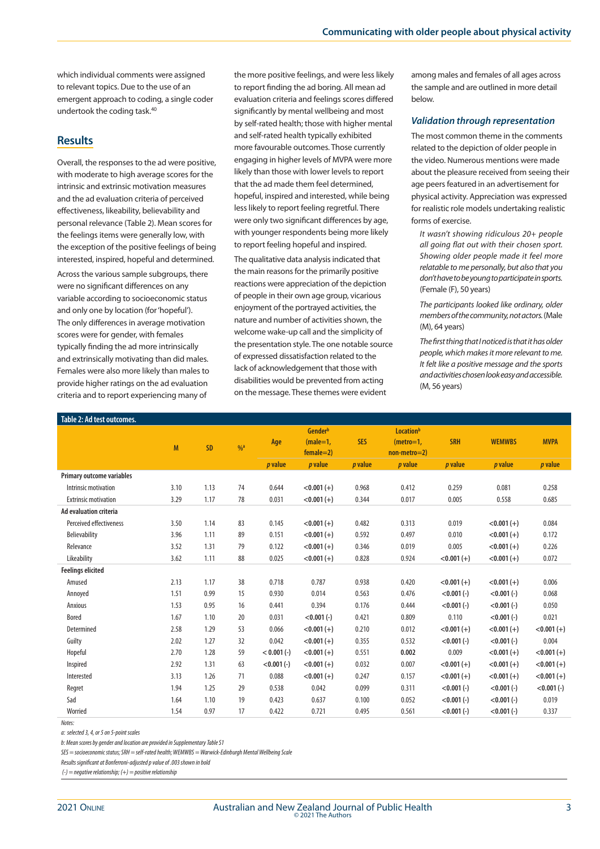which individual comments were assigned to relevant topics. Due to the use of an emergent approach to coding, a single coder undertook the coding task.40

#### **Results**

Overall, the responses to the ad were positive, with moderate to high average scores for the intrinsic and extrinsic motivation measures and the ad evaluation criteria of perceived effectiveness, likeability, believability and personal relevance (Table 2). Mean scores for the feelings items were generally low, with the exception of the positive feelings of being interested, inspired, hopeful and determined.

Across the various sample subgroups, there were no significant differences on any variable according to socioeconomic status and only one by location (for 'hopeful'). The only differences in average motivation scores were for gender, with females typically finding the ad more intrinsically and extrinsically motivating than did males. Females were also more likely than males to provide higher ratings on the ad evaluation criteria and to report experiencing many of

the more positive feelings, and were less likely to report finding the ad boring. All mean ad evaluation criteria and feelings scores differed significantly by mental wellbeing and most by self-rated health; those with higher mental and self-rated health typically exhibited more favourable outcomes. Those currently engaging in higher levels of MVPA were more likely than those with lower levels to report that the ad made them feel determined, hopeful, inspired and interested, while being less likely to report feeling regretful. There were only two significant differences by age, with younger respondents being more likely to report feeling hopeful and inspired.

The qualitative data analysis indicated that the main reasons for the primarily positive reactions were appreciation of the depiction of people in their own age group, vicarious enjoyment of the portrayed activities, the nature and number of activities shown, the welcome wake-up call and the simplicity of the presentation style. The one notable source of expressed dissatisfaction related to the lack of acknowledgement that those with disabilities would be prevented from acting on the message. These themes were evident

among males and females of all ages across the sample and are outlined in more detail below.

#### *Validation through representation*

The most common theme in the comments related to the depiction of older people in the video. Numerous mentions were made about the pleasure received from seeing their age peers featured in an advertisement for physical activity. Appreciation was expressed for realistic role models undertaking realistic forms of exercise.

*It wasn't showing ridiculous 20+ people all going flat out with their chosen sport. Showing older people made it feel more relatable to me personally, but also that you don't have to be young to participate in sports.*  (Female (F), 50 years)

*The participants looked like ordinary, older members of the community, not actors.* (Male (M), 64 years)

*The first thing that I noticed is that it has older people, which makes it more relevant to me. It felt like a positive message and the sports and activities chosen look easy and accessible.*  (M, 56 years)

| Table 2: Ad test outcomes.       |      |           |               |                |                                      |                |                                            |                |                 |                |
|----------------------------------|------|-----------|---------------|----------------|--------------------------------------|----------------|--------------------------------------------|----------------|-----------------|----------------|
|                                  | M    | <b>SD</b> | $\frac{0}{4}$ | Age            | Genderb<br>$(male=1,$<br>$female=2)$ | <b>SES</b>     | Locationb<br>$(metro=1,$<br>$non-metro=2)$ | <b>SRH</b>     | <b>WEMWBS</b>   | <b>MVPA</b>    |
|                                  |      |           |               | <i>p</i> value | <i>p</i> value                       | <i>p</i> value | <i>p</i> value                             | <i>p</i> value | <i>p</i> value  | <i>p</i> value |
| <b>Primary outcome variables</b> |      |           |               |                |                                      |                |                                            |                |                 |                |
| Intrinsic motivation             | 3.10 | 1.13      | 74            | 0.644          | $< 0.001 (+)$                        | 0.968          | 0.412                                      | 0.259          | 0.081           | 0.258          |
| <b>Extrinsic motivation</b>      | 3.29 | 1.17      | 78            | 0.031          | $< 0.001 (+)$                        | 0.344          | 0.017                                      | 0.005          | 0.558           | 0.685          |
| Ad evaluation criteria           |      |           |               |                |                                      |                |                                            |                |                 |                |
| Perceived effectiveness          | 3.50 | 1.14      | 83            | 0.145          | $< 0.001 (+)$                        | 0.482          | 0.313                                      | 0.019          | $< 0.001 (+)$   | 0.084          |
| Believability                    | 3.96 | 1.11      | 89            | 0.151          | $< 0.001 (+)$                        | 0.592          | 0.497                                      | 0.010          | $< 0.001 (+)$   | 0.172          |
| Relevance                        | 3.52 | 1.31      | 79            | 0.122          | $< 0.001 (+)$                        | 0.346          | 0.019                                      | 0.005          | $< 0.001 (+)$   | 0.226          |
| Likeability                      | 3.62 | 1.11      | 88            | 0.025          | $< 0.001 (+)$                        | 0.828          | 0.924                                      | $< 0.001 (+)$  | $< 0.001 (+)$   | 0.072          |
| <b>Feelings elicited</b>         |      |           |               |                |                                      |                |                                            |                |                 |                |
| Amused                           | 2.13 | 1.17      | 38            | 0.718          | 0.787                                | 0.938          | 0.420                                      | $< 0.001 (+)$  | $< 0.001 (+)$   | 0.006          |
| Annoyed                          | 1.51 | 0.99      | 15            | 0.930          | 0.014                                | 0.563          | 0.476                                      | $< 0.001 (-)$  | $< 0.001 (-)$   | 0.068          |
| Anxious                          | 1.53 | 0.95      | 16            | 0.441          | 0.394                                | 0.176          | 0.444                                      | $< 0.001 (-)$  | $< 0.001 (-)$   | 0.050          |
| <b>Bored</b>                     | 1.67 | 1.10      | 20            | 0.031          | $< 0.001 (-)$                        | 0.421          | 0.809                                      | 0.110          | $< 0.001 (-)$   | 0.021          |
| Determined                       | 2.58 | 1.29      | 53            | 0.066          | $< 0.001 (+)$                        | 0.210          | 0.012                                      | $< 0.001 (+)$  | $< 0.001 (+)$   | $< 0.001 (+)$  |
| Guilty                           | 2.02 | 1.27      | 32            | 0.042          | $< 0.001 (+)$                        | 0.355          | 0.532                                      | $< 0.001 (-)$  | $< 0.001 (-)$   | 0.004          |
| Hopeful                          | 2.70 | 1.28      | 59            | $< 0.001 (-)$  | $< 0.001 (+)$                        | 0.551          | 0.002                                      | 0.009          | $< 0.001 (+)$   | $< 0.001 (+)$  |
| Inspired                         | 2.92 | 1.31      | 63            | $< 0.001 (-)$  | $< 0.001 (+)$                        | 0.032          | 0.007                                      | $< 0.001 (+)$  | $< 0.001 (+)$   | $< 0.001 (+)$  |
| Interested                       | 3.13 | 1.26      | 71            | 0.088          | $< 0.001 (+)$                        | 0.247          | 0.157                                      | $< 0.001 (+)$  | $< 0.001 (+)$   | $< 0.001 (+)$  |
| Regret                           | 1.94 | 1.25      | 29            | 0.538          | 0.042                                | 0.099          | 0.311                                      | $< 0.001 (-)$  | $< 0.001 (-)$   | $< 0.001 (-)$  |
| Sad                              | 1.64 | 1.10      | 19            | 0.423          | 0.637                                | 0.100          | 0.052                                      | $< 0.001 (-)$  | $<$ 0.001 $(-)$ | 0.019          |
| Worried                          | 1.54 | 0.97      | 17            | 0.422          | 0.721                                | 0.495          | 0.561                                      | $< 0.001 (-)$  | $< 0.001 (-)$   | 0.337          |

*Notes:*

*a: selected 3, 4, or 5 on 5-point scales*

*b: Mean scores by gender and location are provided in Supplementary Table S1*

*SES = socioeconomic status; SRH = self-rated health; WEMWBS = Warwick-Edinburgh Mental Wellbeing Scale* 

*Results significant at Bonferroni-adjusted p value of .003 shown in bold*

 *(-) = negative relationship; (+) = positive relationship*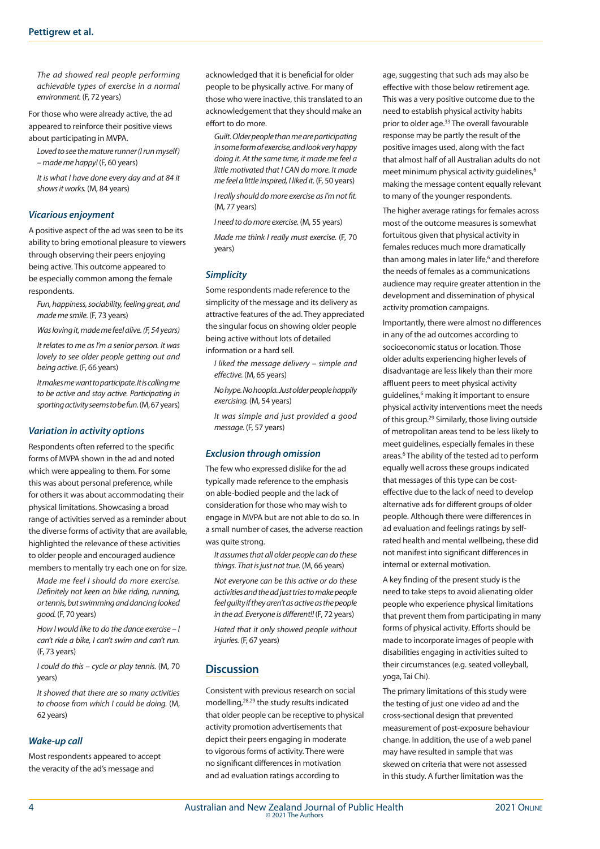*The ad showed real people performing achievable types of exercise in a normal environment.* (F, 72 years)

For those who were already active, the ad appeared to reinforce their positive views about participating in MVPA.

*Loved to see the mature runner (I run myself) – made me happy!* (F, 60 years)

*It is what I have done every day and at 84 it shows it works.* (M, 84 years)

#### *Vicarious enjoyment*

A positive aspect of the ad was seen to be its ability to bring emotional pleasure to viewers through observing their peers enjoying being active. This outcome appeared to be especially common among the female respondents.

*Fun, happiness, sociability, feeling great, and made me smile.* (F, 73 years)

*Was loving it, made me feel alive. (F, 54 years)* 

*It relates to me as I'm a senior person. It was lovely to see older people getting out and being active.* (F, 66 years)

*It makes me want to participate. It is calling me to be active and stay active. Participating in sporting activity seems to be fun.* (M, 67 years)

#### *Variation in activity options*

Respondents often referred to the specific forms of MVPA shown in the ad and noted which were appealing to them. For some this was about personal preference, while for others it was about accommodating their physical limitations. Showcasing a broad range of activities served as a reminder about the diverse forms of activity that are available, highlighted the relevance of these activities to older people and encouraged audience members to mentally try each one on for size.

*Made me feel I should do more exercise. Definitely not keen on bike riding, running, or tennis, but swimming and dancing looked good.* (F, 70 years)

*How I would like to do the dance exercise – I can't ride a bike, I can't swim and can't run.*  (F, 73 years)

*I could do this – cycle or play tennis.* (M, 70 years)

*It showed that there are so many activities to choose from which I could be doing.* (M, 62 years)

#### *Wake-up call*

Most respondents appeared to accept the veracity of the ad's message and

acknowledged that it is beneficial for older people to be physically active. For many of those who were inactive, this translated to an acknowledgement that they should make an effort to do more.

*Guilt. Older people than me are participating in some form of exercise, and look very happy doing it. At the same time, it made me feel a little motivated that I CAN do more. It made me feel a little inspired, I liked it.* (F, 50 years)

*I really should do more exercise as I'm not fit.*  (M, 77 years)

*I need to do more exercise.* (M, 55 years)

*Made me think I really must exercise.* (F, 70 years)

#### *Simplicity*

Some respondents made reference to the simplicity of the message and its delivery as attractive features of the ad. They appreciated the singular focus on showing older people being active without lots of detailed information or a hard sell.

*I liked the message delivery – simple and effective.* (M, 65 years)

*No hype. No hoopla. Just older people happily exercising.* (M, 54 years)

*It was simple and just provided a good message.* (F, 57 years)

#### *Exclusion through omission*

The few who expressed dislike for the ad typically made reference to the emphasis on able-bodied people and the lack of consideration for those who may wish to engage in MVPA but are not able to do so. In a small number of cases, the adverse reaction was quite strong.

*It assumes that all older people can do these things. That is just not true.* (M, 66 years)

*Not everyone can be this active or do these activities and the ad just tries to make people feel guilty if they aren't as active as the people in the ad. Everyone is different!!* (F, 72 years)

*Hated that it only showed people without injuries.* (F, 67 years)

## **Discussion**

Consistent with previous research on social modelling,28,29 the study results indicated that older people can be receptive to physical activity promotion advertisements that depict their peers engaging in moderate to vigorous forms of activity. There were no significant differences in motivation and ad evaluation ratings according to

age, suggesting that such ads may also be effective with those below retirement age. This was a very positive outcome due to the need to establish physical activity habits prior to older age.33 The overall favourable response may be partly the result of the positive images used, along with the fact that almost half of all Australian adults do not meet minimum physical activity guidelines,<sup>6</sup> making the message content equally relevant to many of the younger respondents.

The higher average ratings for females across most of the outcome measures is somewhat fortuitous given that physical activity in females reduces much more dramatically than among males in later life,<sup>6</sup> and therefore the needs of females as a communications audience may require greater attention in the development and dissemination of physical activity promotion campaigns.

Importantly, there were almost no differences in any of the ad outcomes according to socioeconomic status or location. Those older adults experiencing higher levels of disadvantage are less likely than their more affluent peers to meet physical activity guidelines,<sup>6</sup> making it important to ensure physical activity interventions meet the needs of this group.<sup>29</sup> Similarly, those living outside of metropolitan areas tend to be less likely to meet guidelines, especially females in these areas.<sup>6</sup> The ability of the tested ad to perform equally well across these groups indicated that messages of this type can be costeffective due to the lack of need to develop alternative ads for different groups of older people. Although there were differences in ad evaluation and feelings ratings by selfrated health and mental wellbeing, these did not manifest into significant differences in internal or external motivation.

A key finding of the present study is the need to take steps to avoid alienating older people who experience physical limitations that prevent them from participating in many forms of physical activity. Efforts should be made to incorporate images of people with disabilities engaging in activities suited to their circumstances (e.g. seated volleyball, yoga, Tai Chi).

The primary limitations of this study were the testing of just one video ad and the cross-sectional design that prevented measurement of post-exposure behaviour change. In addition, the use of a web panel may have resulted in sample that was skewed on criteria that were not assessed in this study. A further limitation was the